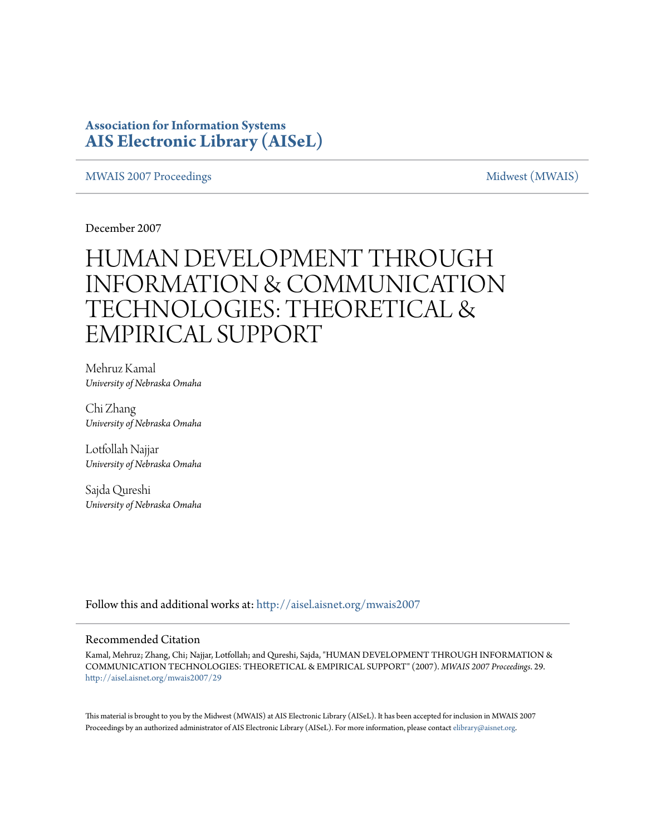### **Association for Information Systems [AIS Electronic Library \(AISeL\)](http://aisel.aisnet.org?utm_source=aisel.aisnet.org%2Fmwais2007%2F29&utm_medium=PDF&utm_campaign=PDFCoverPages)**

#### [MWAIS 2007 Proceedings](http://aisel.aisnet.org/mwais2007?utm_source=aisel.aisnet.org%2Fmwais2007%2F29&utm_medium=PDF&utm_campaign=PDFCoverPages) and the matrix of the [Midwest \(MWAIS\)](http://aisel.aisnet.org/mwais?utm_source=aisel.aisnet.org%2Fmwais2007%2F29&utm_medium=PDF&utm_campaign=PDFCoverPages)

December 2007

# HUMAN DEVELOPMENT THROUGH INFORMATION & COMMUNICATION TECHNOLOGIES: THEORETICAL & EMPIRICAL SUPPORT

Mehruz Kamal *University of Nebraska Omaha*

Chi Zhang *University of Nebraska Omaha*

Lotfollah Najjar *University of Nebraska Omaha*

Sajda Qureshi *University of Nebraska Omaha*

Follow this and additional works at: [http://aisel.aisnet.org/mwais2007](http://aisel.aisnet.org/mwais2007?utm_source=aisel.aisnet.org%2Fmwais2007%2F29&utm_medium=PDF&utm_campaign=PDFCoverPages)

#### Recommended Citation

Kamal, Mehruz; Zhang, Chi; Najjar, Lotfollah; and Qureshi, Sajda, "HUMAN DEVELOPMENT THROUGH INFORMATION & COMMUNICATION TECHNOLOGIES: THEORETICAL & EMPIRICAL SUPPORT" (2007). *MWAIS 2007 Proceedings*. 29. [http://aisel.aisnet.org/mwais2007/29](http://aisel.aisnet.org/mwais2007/29?utm_source=aisel.aisnet.org%2Fmwais2007%2F29&utm_medium=PDF&utm_campaign=PDFCoverPages)

This material is brought to you by the Midwest (MWAIS) at AIS Electronic Library (AISeL). It has been accepted for inclusion in MWAIS 2007 Proceedings by an authorized administrator of AIS Electronic Library (AISeL). For more information, please contact [elibrary@aisnet.org](mailto:elibrary@aisnet.org%3E).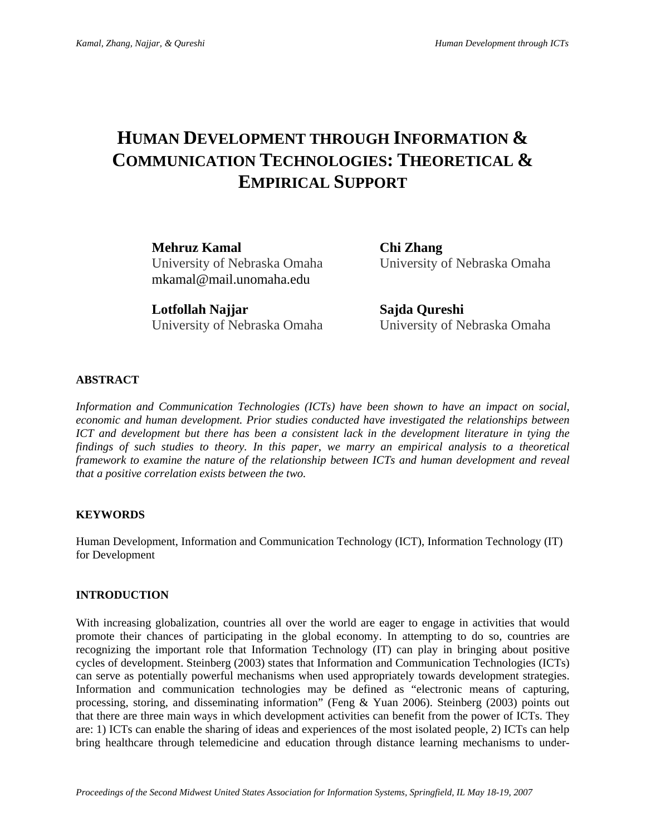## **HUMAN DEVELOPMENT THROUGH INFORMATION & COMMUNICATION TECHNOLOGIES: THEORETICAL & EMPIRICAL SUPPORT**

**Mehruz Kamal Chi Zhang**  University of Nebraska Omaha University of Nebraska Omaha mkamal@mail.unomaha.edu

**Lotfollah Najjar Sajda Qureshi**  University of Nebraska Omaha University of Nebraska Omaha

#### **ABSTRACT**

*Information and Communication Technologies (ICTs) have been shown to have an impact on social, economic and human development. Prior studies conducted have investigated the relationships between ICT and development but there has been a consistent lack in the development literature in tying the findings of such studies to theory. In this paper, we marry an empirical analysis to a theoretical framework to examine the nature of the relationship between ICTs and human development and reveal that a positive correlation exists between the two.* 

#### **KEYWORDS**

Human Development, Information and Communication Technology (ICT), Information Technology (IT) for Development

#### **INTRODUCTION**

With increasing globalization, countries all over the world are eager to engage in activities that would promote their chances of participating in the global economy. In attempting to do so, countries are recognizing the important role that Information Technology (IT) can play in bringing about positive cycles of development. Steinberg (2003) states that Information and Communication Technologies (ICTs) can serve as potentially powerful mechanisms when used appropriately towards development strategies. Information and communication technologies may be defined as "electronic means of capturing, processing, storing, and disseminating information" (Feng & Yuan 2006). Steinberg (2003) points out that there are three main ways in which development activities can benefit from the power of ICTs. They are: 1) ICTs can enable the sharing of ideas and experiences of the most isolated people, 2) ICTs can help bring healthcare through telemedicine and education through distance learning mechanisms to under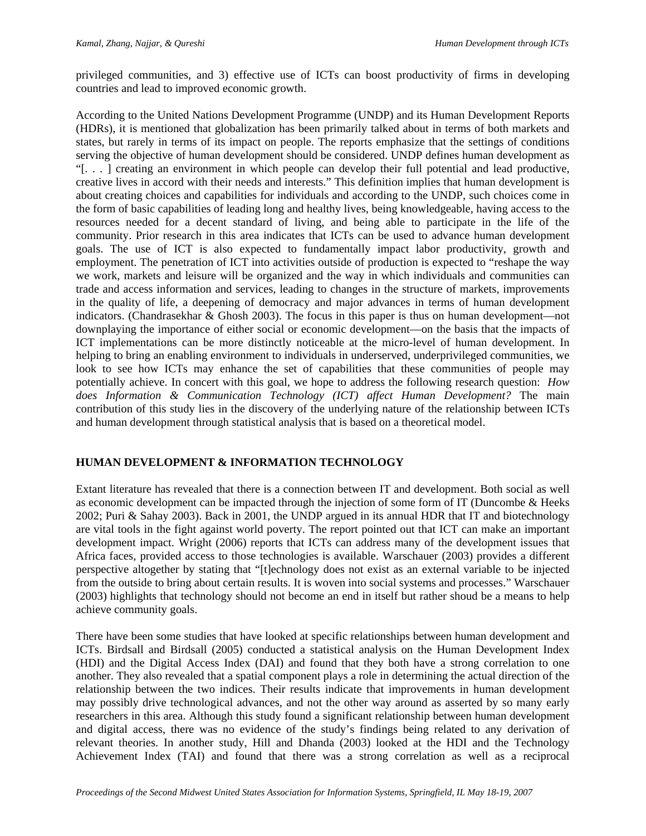privileged communities, and 3) effective use of ICTs can boost productivity of firms in developing countries and lead to improved economic growth.

According to the United Nations Development Programme (UNDP) and its Human Development Reports (HDRs), it is mentioned that globalization has been primarily talked about in terms of both markets and states, but rarely in terms of its impact on people. The reports emphasize that the settings of conditions serving the objective of human development should be considered. UNDP defines human development as "[. . . ] creating an environment in which people can develop their full potential and lead productive, creative lives in accord with their needs and interests." This definition implies that human development is about creating choices and capabilities for individuals and according to the UNDP, such choices come in the form of basic capabilities of leading long and healthy lives, being knowledgeable, having access to the resources needed for a decent standard of living, and being able to participate in the life of the community. Prior research in this area indicates that ICTs can be used to advance human development goals. The use of ICT is also expected to fundamentally impact labor productivity, growth and employment. The penetration of ICT into activities outside of production is expected to "reshape the way we work, markets and leisure will be organized and the way in which individuals and communities can trade and access information and services, leading to changes in the structure of markets, improvements in the quality of life, a deepening of democracy and major advances in terms of human development indicators. (Chandrasekhar & Ghosh 2003). The focus in this paper is thus on human development—not downplaying the importance of either social or economic development—on the basis that the impacts of ICT implementations can be more distinctly noticeable at the micro-level of human development. In helping to bring an enabling environment to individuals in underserved, underprivileged communities, we look to see how ICTs may enhance the set of capabilities that these communities of people may potentially achieve. In concert with this goal, we hope to address the following research question: *How does Information & Communication Technology (ICT) affect Human Development?* The main contribution of this study lies in the discovery of the underlying nature of the relationship between ICTs and human development through statistical analysis that is based on a theoretical model.

#### **HUMAN DEVELOPMENT & INFORMATION TECHNOLOGY**

Extant literature has revealed that there is a connection between IT and development. Both social as well as economic development can be impacted through the injection of some form of IT (Duncombe & Heeks 2002; Puri & Sahay 2003). Back in 2001, the UNDP argued in its annual HDR that IT and biotechnology are vital tools in the fight against world poverty. The report pointed out that ICT can make an important development impact. Wright (2006) reports that ICTs can address many of the development issues that Africa faces, provided access to those technologies is available. Warschauer (2003) provides a different perspective altogether by stating that "[t]echnology does not exist as an external variable to be injected from the outside to bring about certain results. It is woven into social systems and processes." Warschauer (2003) highlights that technology should not become an end in itself but rather shoud be a means to help achieve community goals.

There have been some studies that have looked at specific relationships between human development and ICTs. Birdsall and Birdsall (2005) conducted a statistical analysis on the Human Development Index (HDI) and the Digital Access Index (DAI) and found that they both have a strong correlation to one another. They also revealed that a spatial component plays a role in determining the actual direction of the relationship between the two indices. Their results indicate that improvements in human development may possibly drive technological advances, and not the other way around as asserted by so many early researchers in this area. Although this study found a significant relationship between human development and digital access, there was no evidence of the study's findings being related to any derivation of relevant theories. In another study, Hill and Dhanda (2003) looked at the HDI and the Technology Achievement Index (TAI) and found that there was a strong correlation as well as a reciprocal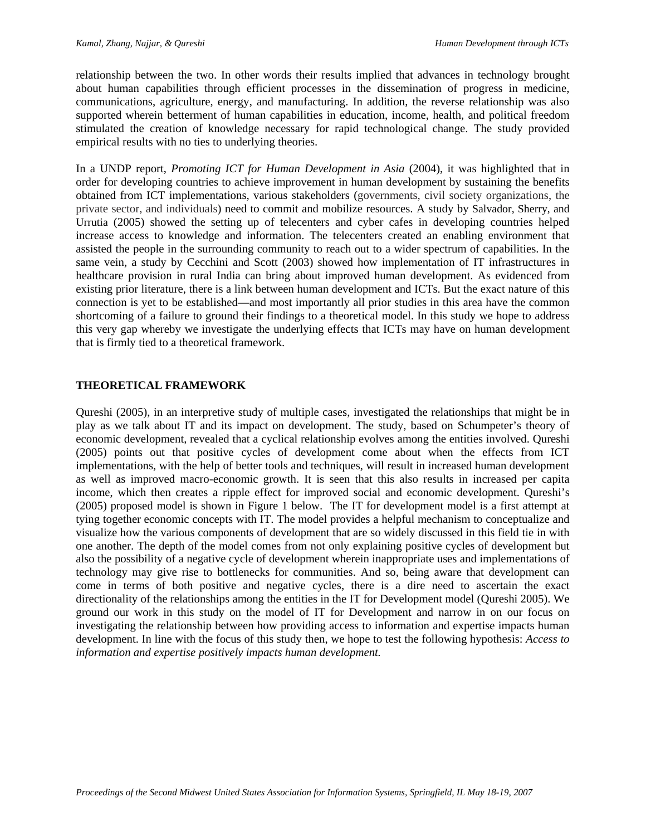relationship between the two. In other words their results implied that advances in technology brought about human capabilities through efficient processes in the dissemination of progress in medicine, communications, agriculture, energy, and manufacturing. In addition, the reverse relationship was also supported wherein betterment of human capabilities in education, income, health, and political freedom stimulated the creation of knowledge necessary for rapid technological change. The study provided empirical results with no ties to underlying theories.

In a UNDP report, *Promoting ICT for Human Development in Asia* (2004), it was highlighted that in order for developing countries to achieve improvement in human development by sustaining the benefits obtained from ICT implementations, various stakeholders (governments, civil society organizations, the private sector, and individuals) need to commit and mobilize resources. A study by Salvador, Sherry, and Urrutia (2005) showed the setting up of telecenters and cyber cafes in developing countries helped increase access to knowledge and information. The telecenters created an enabling environment that assisted the people in the surrounding community to reach out to a wider spectrum of capabilities. In the same vein, a study by Cecchini and Scott (2003) showed how implementation of IT infrastructures in healthcare provision in rural India can bring about improved human development. As evidenced from existing prior literature, there is a link between human development and ICTs. But the exact nature of this connection is yet to be established—and most importantly all prior studies in this area have the common shortcoming of a failure to ground their findings to a theoretical model. In this study we hope to address this very gap whereby we investigate the underlying effects that ICTs may have on human development that is firmly tied to a theoretical framework.

#### **THEORETICAL FRAMEWORK**

Qureshi (2005), in an interpretive study of multiple cases, investigated the relationships that might be in play as we talk about IT and its impact on development. The study, based on Schumpeter's theory of economic development, revealed that a cyclical relationship evolves among the entities involved. Qureshi (2005) points out that positive cycles of development come about when the effects from ICT implementations, with the help of better tools and techniques, will result in increased human development as well as improved macro-economic growth. It is seen that this also results in increased per capita income, which then creates a ripple effect for improved social and economic development. Qureshi's (2005) proposed model is shown in Figure 1 below. The IT for development model is a first attempt at tying together economic concepts with IT. The model provides a helpful mechanism to conceptualize and visualize how the various components of development that are so widely discussed in this field tie in with one another. The depth of the model comes from not only explaining positive cycles of development but also the possibility of a negative cycle of development wherein inappropriate uses and implementations of technology may give rise to bottlenecks for communities. And so, being aware that development can come in terms of both positive and negative cycles, there is a dire need to ascertain the exact directionality of the relationships among the entities in the IT for Development model (Qureshi 2005). We ground our work in this study on the model of IT for Development and narrow in on our focus on investigating the relationship between how providing access to information and expertise impacts human development. In line with the focus of this study then, we hope to test the following hypothesis: *Access to information and expertise positively impacts human development.*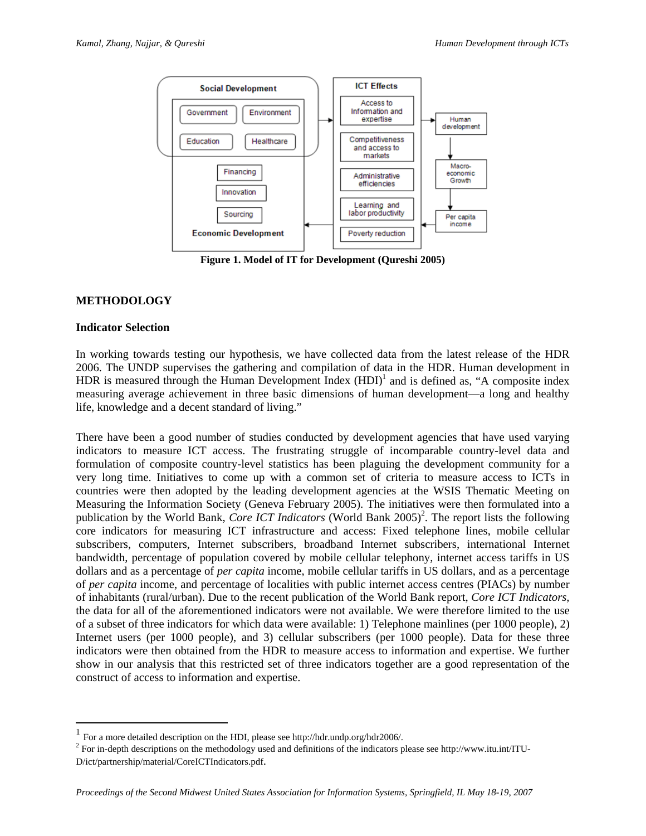

**Figure 1. Model of IT for Development (Qureshi 2005)**

#### **METHODOLOGY**

#### **Indicator Selection**

 $\overline{a}$ 

In working towards testing our hypothesis, we have collected data from the latest release of the HDR 2006. The UNDP supervises the gathering and compilation of data in the HDR. Human development in HDR is measured through the Human Development Index  $(HDI)^{1}$  and is defined as, "A composite index measuring average achievement in three basic dimensions of human development—a long and healthy life, knowledge and a decent standard of living."

There have been a good number of studies conducted by development agencies that have used varying indicators to measure ICT access. The frustrating struggle of incomparable country-level data and formulation of composite country-level statistics has been plaguing the development community for a very long time. Initiatives to come up with a common set of criteria to measure access to ICTs in countries were then adopted by the leading development agencies at the WSIS Thematic Meeting on Measuring the Information Society (Geneva February 2005). The initiatives were then formulated into a publication by the World Bank, *Core ICT Indicators* (World Bank 2005)<sup>2</sup>. The report lists the following core indicators for measuring ICT infrastructure and access: Fixed telephone lines, mobile cellular subscribers, computers, Internet subscribers, broadband Internet subscribers, international Internet bandwidth, percentage of population covered by mobile cellular telephony, internet access tariffs in US dollars and as a percentage of *per capita* income, mobile cellular tariffs in US dollars, and as a percentage of *per capita* income, and percentage of localities with public internet access centres (PIACs) by number of inhabitants (rural/urban). Due to the recent publication of the World Bank report, *Core ICT Indicators,* the data for all of the aforementioned indicators were not available. We were therefore limited to the use of a subset of three indicators for which data were available: 1) Telephone mainlines (per 1000 people), 2) Internet users (per 1000 people), and 3) cellular subscribers (per 1000 people). Data for these three indicators were then obtained from the HDR to measure access to information and expertise. We further show in our analysis that this restricted set of three indicators together are a good representation of the construct of access to information and expertise.

 $1$  For a more detailed description on the HDI, please see http://hdr.undp.org/hdr2006/.

 $2$  For in-depth descriptions on the methodology used and definitions of the indicators please see http://www.itu.int/ITU-D/ict/partnership/material/CoreICTIndicators.pdf.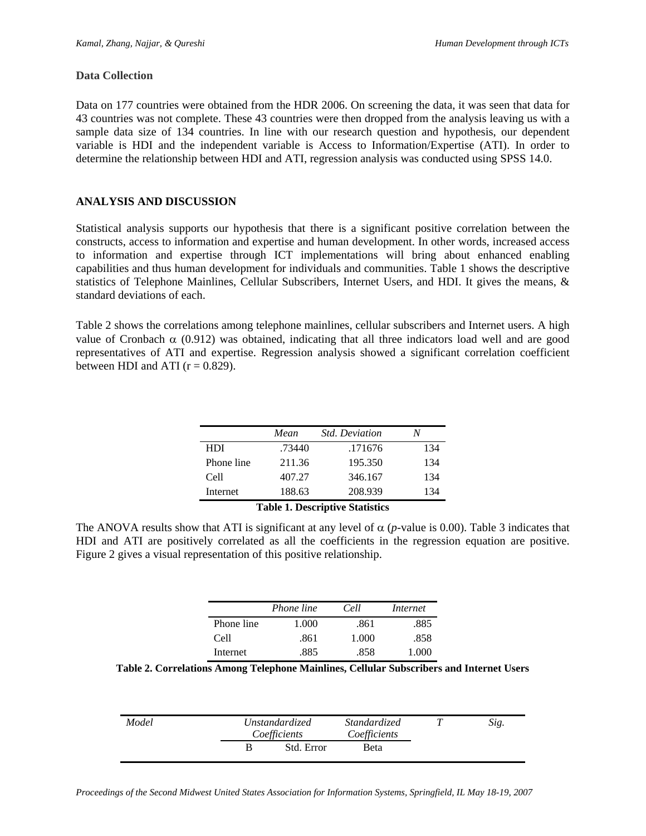#### **Data Collection**

Data on 177 countries were obtained from the HDR 2006. On screening the data, it was seen that data for 43 countries was not complete. These 43 countries were then dropped from the analysis leaving us with a sample data size of 134 countries. In line with our research question and hypothesis, our dependent variable is HDI and the independent variable is Access to Information/Expertise (ATI). In order to determine the relationship between HDI and ATI, regression analysis was conducted using SPSS 14.0.

#### **ANALYSIS AND DISCUSSION**

Statistical analysis supports our hypothesis that there is a significant positive correlation between the constructs, access to information and expertise and human development. In other words, increased access to information and expertise through ICT implementations will bring about enhanced enabling capabilities and thus human development for individuals and communities. Table 1 shows the descriptive statistics of Telephone Mainlines, Cellular Subscribers, Internet Users, and HDI. It gives the means, & standard deviations of each.

Table 2 shows the correlations among telephone mainlines, cellular subscribers and Internet users. A high value of Cronbach  $\alpha$  (0.912) was obtained, indicating that all three indicators load well and are good representatives of ATI and expertise. Regression analysis showed a significant correlation coefficient between HDI and ATI ( $r = 0.829$ ).

|            | Mean          | <b>Std. Deviation</b>                             |     |
|------------|---------------|---------------------------------------------------|-----|
| HDI        | .73440        | .171676                                           | 134 |
| Phone line | 211.36        | 195.350                                           | 134 |
| Cell       | 407.27        | 346.167                                           | 134 |
| Internet   | 188.63        | 208.939                                           | 134 |
|            | $\sim$<br>. . | $\sim \cdot$ $\cdot$ $\cdot$<br>$\cdot\cdot\cdot$ |     |

#### **Table 1. Descriptive Statistics**

The ANOVA results show that ATI is significant at any level of  $\alpha$  (*p*-value is 0.00). Table 3 indicates that HDI and ATI are positively correlated as all the coefficients in the regression equation are positive. Figure 2 gives a visual representation of this positive relationship.

|            | Phone line | Cell  | Internet |
|------------|------------|-------|----------|
| Phone line | 1.000      | .861  | .885     |
| Cell       | .861       | 1.000 | .858     |
| Internet   | .885       | .858  | 1.000    |

**Table 2. Correlations Among Telephone Mainlines, Cellular Subscribers and Internet Users** 

| Model | <i>Unstandardized</i><br>Coefficients |            | <i>Standardized</i><br>Coefficients | Sig. |
|-------|---------------------------------------|------------|-------------------------------------|------|
|       | В                                     | Std. Error | <b>B</b> eta                        |      |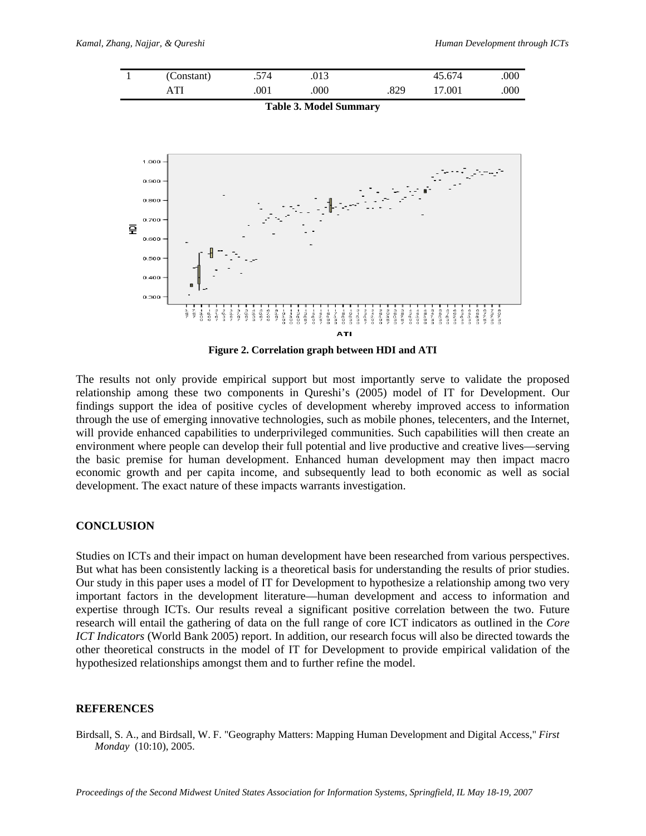

**Table 3. Model Summary** 



**Figure 2. Correlation graph between HDI and ATI** 

The results not only provide empirical support but most importantly serve to validate the proposed relationship among these two components in Qureshi's (2005) model of IT for Development. Our findings support the idea of positive cycles of development whereby improved access to information through the use of emerging innovative technologies, such as mobile phones, telecenters, and the Internet, will provide enhanced capabilities to underprivileged communities. Such capabilities will then create an environment where people can develop their full potential and live productive and creative lives—serving the basic premise for human development. Enhanced human development may then impact macro economic growth and per capita income, and subsequently lead to both economic as well as social development. The exact nature of these impacts warrants investigation.

#### **CONCLUSION**

Studies on ICTs and their impact on human development have been researched from various perspectives. But what has been consistently lacking is a theoretical basis for understanding the results of prior studies. Our study in this paper uses a model of IT for Development to hypothesize a relationship among two very important factors in the development literature—human development and access to information and expertise through ICTs. Our results reveal a significant positive correlation between the two. Future research will entail the gathering of data on the full range of core ICT indicators as outlined in the *Core ICT Indicators* (World Bank 2005) report. In addition, our research focus will also be directed towards the other theoretical constructs in the model of IT for Development to provide empirical validation of the hypothesized relationships amongst them and to further refine the model.

#### **REFERENCES**

Birdsall, S. A., and Birdsall, W. F. "Geography Matters: Mapping Human Development and Digital Access," *First Monday* (10:10), 2005.